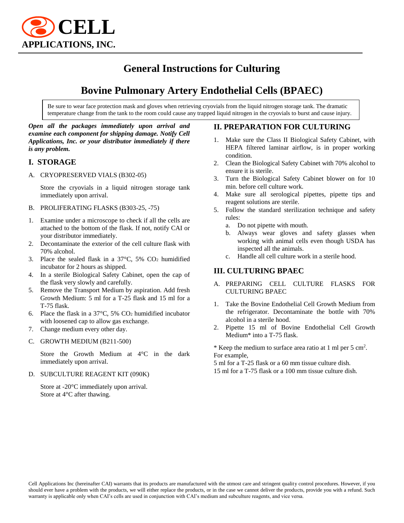

# **General Instructions for Culturing**

# **Bovine Pulmonary Artery Endothelial Cells (BPAEC)**

Be sure to wear face protection mask and gloves when retrieving cryovials from the liquid nitrogen storage tank. The dramatic temperature change from the tank to the room could cause any trapped liquid nitrogen in the cryovials to burst and cause injury.

#### *Open all the packages immediately upon arrival and examine each component for shipping damage. Notify Cell Applications, Inc. or your distributor immediately if there is any problem.*

#### **I. STORAGE**

A. CRYOPRESERVED VIALS (B302-05)

Store the cryovials in a liquid nitrogen storage tank immediately upon arrival.

- B. PROLIFERATING FLASKS (B303-25, -75)
- 1. Examine under a microscope to check if all the cells are attached to the bottom of the flask. If not, notify CAI or your distributor immediately.
- 2. Decontaminate the exterior of the cell culture flask with 70% alcohol.
- 3. Place the sealed flask in a  $37^{\circ}$ C,  $5\%$  CO<sub>2</sub> humidified incubator for 2 hours as shipped.
- 4. In a sterile Biological Safety Cabinet, open the cap of the flask very slowly and carefully.
- 5. Remove the Transport Medium by aspiration. Add fresh Growth Medium: 5 ml for a T-25 flask and 15 ml for a T-75 flask.
- 6. Place the flask in a  $37^{\circ}$ C, 5% CO<sub>2</sub> humidified incubator with loosened cap to allow gas exchange.
- 7. Change medium every other day.
- C. GROWTH MEDIUM (B211-500)

Store the Growth Medium at 4°C in the dark immediately upon arrival.

D. SUBCULTURE REAGENT KIT (090K)

Store at -20°C immediately upon arrival. Store at 4°C after thawing.

#### **II. PREPARATION FOR CULTURING**

- 1. Make sure the Class II Biological Safety Cabinet, with HEPA filtered laminar airflow, is in proper working condition.
- 2. Clean the Biological Safety Cabinet with 70% alcohol to ensure it is sterile.
- 3. Turn the Biological Safety Cabinet blower on for 10 min. before cell culture work.
- 4. Make sure all serological pipettes, pipette tips and reagent solutions are sterile.
- 5. Follow the standard sterilization technique and safety rules:
	- a. Do not pipette with mouth.
	- b. Always wear gloves and safety glasses when working with animal cells even though USDA has inspected all the animals.
	- c. Handle all cell culture work in a sterile hood.

### **III. CULTURING BPAEC**

- A. PREPARING CELL CULTURE FLASKS FOR CULTURING BPAEC
- 1. Take the Bovine Endothelial Cell Growth Medium from the refrigerator. Decontaminate the bottle with 70% alcohol in a sterile hood.
- 2. Pipette 15 ml of Bovine Endothelial Cell Growth Medium\* into a T-75 flask.

\* Keep the medium to surface area ratio at 1 ml per 5 cm<sup>2</sup>. For example,

5 ml for a T-25 flask or a 60 mm tissue culture dish. 15 ml for a T-75 flask or a 100 mm tissue culture dish.